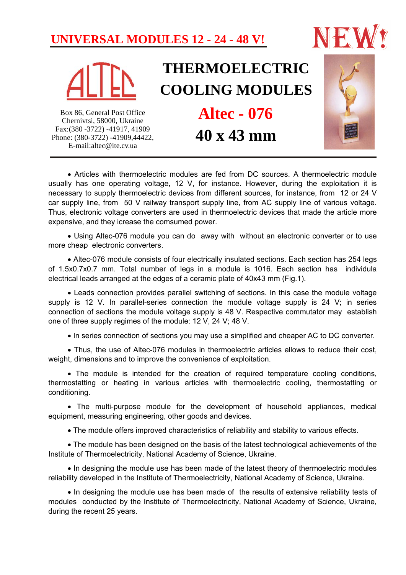### **UNIVERSAL MODULES 12 - 24 - 48 V!**





# **THERMOELECTRIC COOLING MODULES**

Box 86, General Post Office Chernivtsi, 58000, Ukraine Fax:(380 -3722) -41917, 41909 Phone: (380-3722) -41909,44422, E-mail:altec@ite.cv.ua

## **40 x 43 mm Altec - 076**



 Articles with thermoelectric modules are fed from DC sources. A thermoelectric module usually has one operating voltage, 12 V, for instance. However, during the exploitation it is necessary to supply thermoelectric devices from different sources, for instance, from 12 or 24 V car supply line, from 50 V railway transport supply line, from AC supply line of various voltage. Thus, electronic voltage converters are used in thermoelectric devices that made the article more expensive, and they icrease the comsumed power.

 Using Altec-076 module you can do away with without an electronic converter or to use more cheap electronic converters.

 Altec-076 module consists of four electrically insulated sections. Each section has 254 legs of 1.5x0.7x0.7 mm. Total number of legs in a module is 1016. Each section has individula electrical leads arranged at the edges of a ceramic plate of 40x43 mm (Fig.1).

 Leads connection provides parallel switching of sections. In this case the module voltage supply is 12 V. In parallel-series connection the module voltage supply is 24 V; in series connection of sections the module voltage supply is 48 V. Respective commutator may establish one of three supply regimes of the module: 12 V, 24 V; 48 V.

In series connection of sections you may use a simplified and cheaper AC to DC converter.

• Thus, the use of Altec-076 modules in thermoelectric articles allows to reduce their cost, weight, dimensions and to improve the convenience of exploitation.

• The module is intended for the creation of required temperature cooling conditions, thermostatting or heating in various articles with thermoelectric cooling, thermostatting or conditioning.

 The multi-purpose module for the development of household appliances, medical equipment, measuring engineering, other goods and devices.

The module offers improved characteristics of reliability and stability to various effects.

 The module has been designed on the basis of the latest technological achievements of the Institute of Thermoelectricity, National Academy of Science, Ukraine.

• In designing the module use has been made of the latest theory of thermoelectric modules reliability developed in the Institute of Thermoelectricity, National Academy of Science, Ukraine.

• In designing the module use has been made of the results of extensive reliability tests of modules conducted by the Institute of Thermoelectricity, National Academy of Science, Ukraine, during the recent 25 years.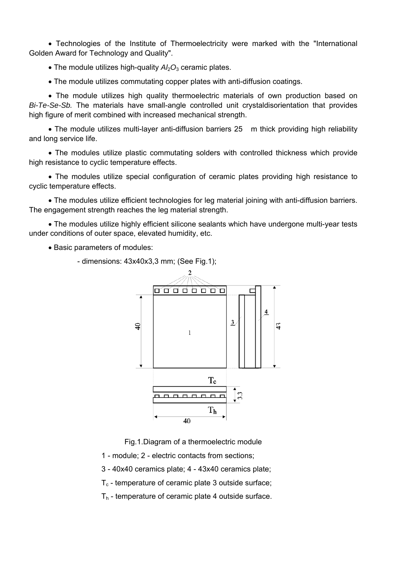Technologies of the Institute of Thermoelectricity were marked with the "International Golden Award for Technology and Quality".

 $\bullet$  The module utilizes high-quality  $A/2O_3$  ceramic plates.

The module utilizes commutating copper plates with anti-diffusion coatings.

 The module utilizes high quality thermoelectric materials of own production based on *Bi-Te-Se-Sb.* The materials have small-angle controlled unit crystaldisorientation that provides high figure of merit combined with increased mechanical strength.

• The module utilizes multi-layer anti-diffusion barriers 25 m thick providing high reliability and long service life.

 The modules utilize plastic commutating solders with controlled thickness which provide high resistance to cyclic temperature effects.

• The modules utilize special configuration of ceramic plates providing high resistance to cyclic temperature effects.

 The modules utilize efficient technologies for leg material joining with anti-diffusion barriers. The engagement strength reaches the leg material strength.

 The modules utilize highly efficient silicone sealants which have undergone multi-year tests under conditions of outer space, elevated humidity, etc.

• Basic parameters of modules:

- dimensions: 43x40x3,3 mm; (See Fig.1);



Fig.1.Diagram of a thermoelectric module

1 - module; 2 - electric contacts from sections;

3 - 40x40 ceramics plate; 4 - 43x40 ceramics plate;

 $T_c$  - temperature of ceramic plate 3 outside surface;

 $T_h$  - temperature of ceramic plate 4 outside surface.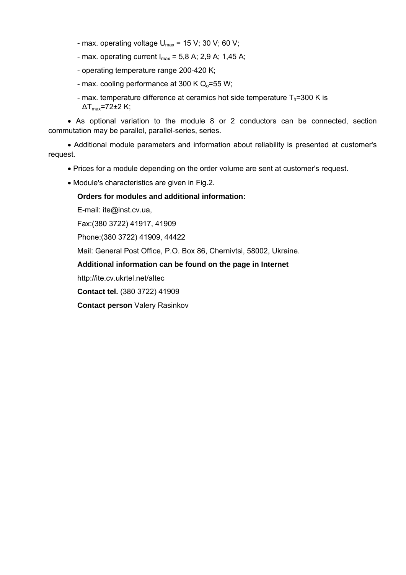- max. operating voltage  $U_{\text{max}}$  = 15 V; 30 V; 60 V;
- max. operating current  $I_{max}$  = 5,8 A; 2,9 A; 1,45 A;
- operating temperature range 200-420 K;
- max. cooling performance at 300 K  $Q_0$ =55 W;
- max. temperature difference at ceramics hot side temperature  $T_h$ =300 K is  $\Delta$ T<sub>max</sub>=72 $\pm$ 2 K;

 As optional variation to the module 8 or 2 conductors can be connected, section commutation may be parallel, parallel-series, series.

 Additional module parameters and information about reliability is presented at customer's request.

- Prices for a module depending on the order volume are sent at customer's request.
- Module's characteristics are given in Fig.2.

### **Orders for modules and additional information:**

E-mail: ite@inst.cv.ua,

Fax:(380 3722) 41917, 41909

Phone:(380 3722) 41909, 44422

Mail: General Post Office, P.O. Box 86, Chernivtsi, 58002, Ukraine.

### **Additional information can be found on the page in Internet**

http://ite.cv.ukrtel.net/altec

**Contact tel.** (380 3722) 41909

**Contact person** Valery Rasinkov